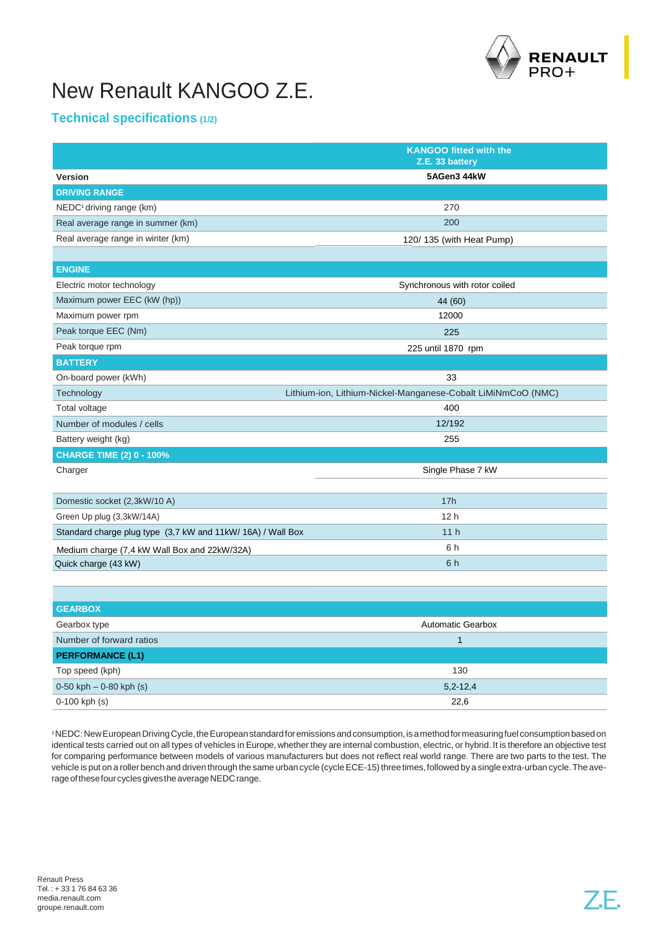

## New Renault KANGOO Z.E.

## **Technical specifications (1/2)**

|                                                             | <b>KANGOO fitted with the</b><br>Z.E. 33 battery             |
|-------------------------------------------------------------|--------------------------------------------------------------|
| <b>Version</b>                                              | 5AGen3 44kW                                                  |
| <b>DRIVING RANGE</b>                                        |                                                              |
| $NEDC1$ driving range (km)                                  | 270                                                          |
| Real average range in summer (km)                           | 200                                                          |
| Real average range in winter (km)                           | 120/135 (with Heat Pump)                                     |
|                                                             |                                                              |
| <b>ENGINE</b>                                               |                                                              |
| Electric motor technology                                   | Synchronous with rotor coiled                                |
| Maximum power EEC (kW (hp))                                 | 44 (60)                                                      |
| Maximum power rpm                                           | 12000                                                        |
| Peak torque EEC (Nm)                                        | 225                                                          |
| Peak torque rpm                                             | 225 until 1870 rpm                                           |
| <b>BATTERY</b>                                              |                                                              |
| On-board power (kWh)                                        | 33                                                           |
| Technology                                                  | Lithium-ion, Lithium-Nickel-Manganese-Cobalt LiMiNmCoO (NMC) |
| Total voltage                                               | 400                                                          |
| Number of modules / cells                                   | 12/192                                                       |
| Battery weight (kg)                                         | 255                                                          |
| <b>CHARGE TIME (2) 0 - 100%</b>                             |                                                              |
| Charger                                                     | Single Phase 7 kW                                            |
|                                                             |                                                              |
| Domestic socket (2,3kW/10 A)                                | 17h                                                          |
| Green Up plug (3,3kW/14A)                                   | 12 <sub>h</sub>                                              |
| Standard charge plug type (3,7 kW and 11kW/ 16A) / Wall Box | 11h                                                          |
| Medium charge (7,4 kW Wall Box and 22kW/32A)                | 6 h                                                          |
| Quick charge (43 kW)                                        | 6h                                                           |
|                                                             |                                                              |
|                                                             |                                                              |
| <b>GEARBOX</b>                                              |                                                              |
| Gearbox type                                                | <b>Automatic Gearbox</b>                                     |
| Number of forward ratios                                    | $\mathbf{1}$                                                 |
| <b>PERFORMANCE (L1)</b>                                     |                                                              |
| Top speed (kph)                                             | 130                                                          |
| $0-50$ kph $-0-80$ kph (s)                                  | $5,2-12,4$                                                   |
| 0-100 kph (s)                                               | 22,6                                                         |

<sup>1</sup>NEDC: NewEuropean DrivingCycle,theEuropeanstandardforemissions andconsumption,is amethodformeasuringfuelconsumptionbased on identical tests carried out on all types of vehicles in Europe, whether they are internal combustion, electric, or hybrid. It is therefore an objective test for comparing performance between models of various manufacturers but does not reflect real world range. There are two parts to the test. The vehicle is put on a roller bench and driven through the same urban cycle (cycle ECE-15) three times, followed by a single extra-urban cycle. The average of these four cycles gives the average NEDC range.